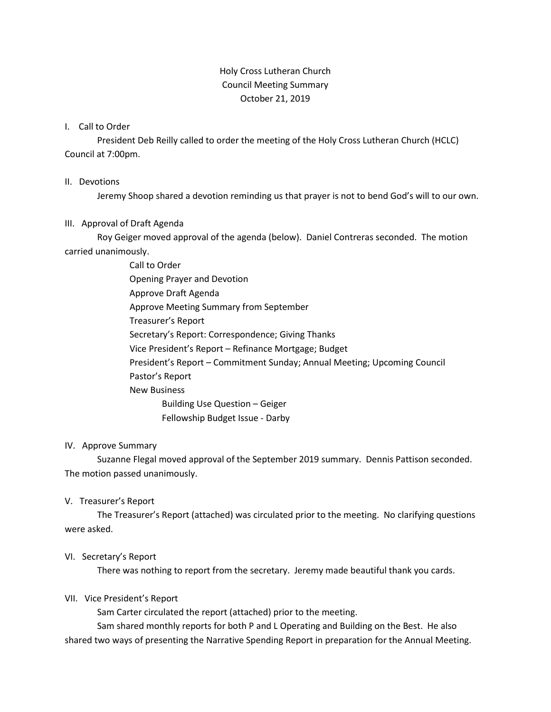# Holy Cross Lutheran Church Council Meeting Summary October 21, 2019

### I. Call to Order

President Deb Reilly called to order the meeting of the Holy Cross Lutheran Church (HCLC) Council at 7:00pm.

#### II. Devotions

Jeremy Shoop shared a devotion reminding us that prayer is not to bend God's will to our own.

### III. Approval of Draft Agenda

Roy Geiger moved approval of the agenda (below). Daniel Contreras seconded. The motion carried unanimously.

> Call to Order Opening Prayer and Devotion Approve Draft Agenda Approve Meeting Summary from September Treasurer's Report Secretary's Report: Correspondence; Giving Thanks Vice President's Report – Refinance Mortgage; Budget President's Report – Commitment Sunday; Annual Meeting; Upcoming Council Pastor's Report New Business Building Use Question – Geiger Fellowship Budget Issue - Darby

### IV. Approve Summary

Suzanne Flegal moved approval of the September 2019 summary. Dennis Pattison seconded. The motion passed unanimously.

### V. Treasurer's Report

The Treasurer's Report (attached) was circulated prior to the meeting. No clarifying questions were asked.

### VI. Secretary's Report

There was nothing to report from the secretary. Jeremy made beautiful thank you cards.

### VII. Vice President's Report

Sam Carter circulated the report (attached) prior to the meeting.

Sam shared monthly reports for both P and L Operating and Building on the Best. He also shared two ways of presenting the Narrative Spending Report in preparation for the Annual Meeting.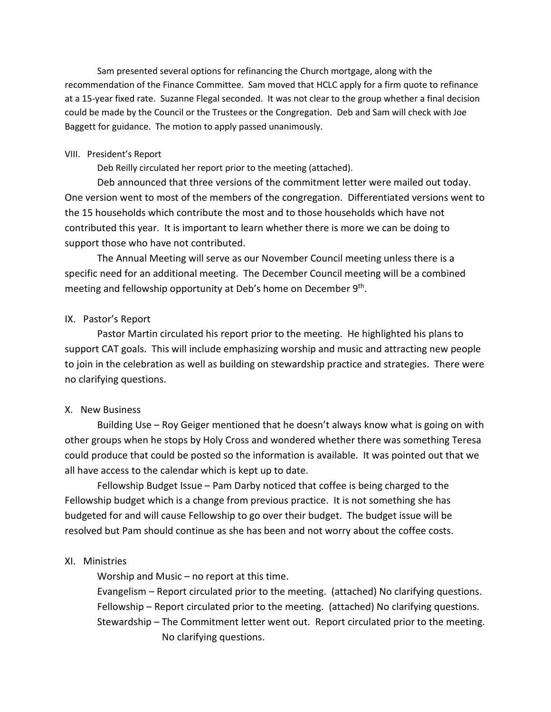Sam presented several options for refinancing the Church mortgage, along with the recommendation of the Finance Committee. Sam moved that HCLC apply for a firm quote to refinance at a 15-year fixed rate. Suzanne Flegal seconded. It was not clear to the group whether a final decision could be made by the Council or the Trustees or the Congregation. Deb and Sam will check with Joe Baggett for guidance. The motion to apply passed unanimously.

#### VIII. President's Report

Deb Reilly circulated her report prior to the meeting (attached).

Deb announced that three versions of the commitment letter were mailed out today. One version went to most of the members of the congregation. Differentiated versions went to the 15 households which contribute the most and to those households which have not contributed this year. It is important to learn whether there is more we can be doing to support those who have not contributed.

The Annual Meeting will serve as our November Council meeting unless there is a specific need for an additional meeting. The December Council meeting will be a combined meeting and fellowship opportunity at Deb's home on December 9<sup>th</sup>.

### IX. Pastor's Report

Pastor Martin circulated his report prior to the meeting. He highlighted his plans to support CAT goals. This will include emphasizing worship and music and attracting new people to join in the celebration as well as building on stewardship practice and strategies. There were no clarifying questions.

### X. New Business

Building Use – Roy Geiger mentioned that he doesn't always know what is going on with other groups when he stops by Holy Cross and wondered whether there was something Teresa could produce that could be posted so the information is available. It was pointed out that we all have access to the calendar which is kept up to date.

Fellowship Budget Issue – Pam Darby noticed that coffee is being charged to the Fellowship budget which is a change from previous practice. It is not something she has budgeted for and will cause Fellowship to go over their budget. The budget issue will be resolved but Pam should continue as she has been and not worry about the coffee costs.

### XI. Ministries

Worship and Music – no report at this time.

Evangelism – Report circulated prior to the meeting. (attached) No clarifying questions. Fellowship – Report circulated prior to the meeting. (attached) No clarifying questions. Stewardship – The Commitment letter went out. Report circulated prior to the meeting. No clarifying questions.